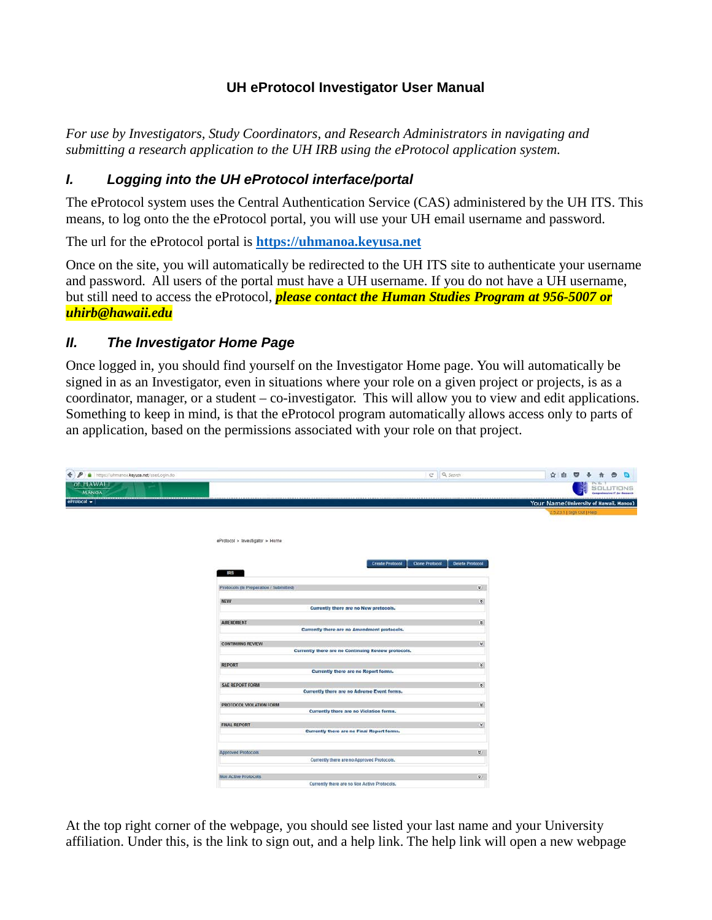## **UH eProtocol Investigator User Manual**

*For use by Investigators, Study Coordinators, and Research Administrators in navigating and submitting a research application to the UH IRB using the eProtocol application system.*

# *I. Logging into the UH eProtocol interface/portal*

The eProtocol system uses the Central Authentication Service (CAS) administered by the UH ITS. This means, to log onto the the eProtocol portal, you will use your UH email username and password.

The url for the eProtocol portal is **[https://uhmanoa.keyusa.net](https://uhmanoa.keyusa.net/)**

Once on the site, you will automatically be redirected to the UH ITS site to authenticate your username and password. All users of the portal must have a UH username. If you do not have a UH username, but still need to access the eProtocol, *please contact the Human Studies Program at 956-5007 or [uhirb@hawaii.edu](mailto:uhirb@hawaii.edu)*

## *II. The Investigator Home Page*

Once logged in, you should find yourself on the Investigator Home page. You will automatically be signed in as an Investigator, even in situations where your role on a given project or projects, is as a coordinator, manager, or a student – co-investigator. This will allow you to view and edit applications. Something to keep in mind, is that the eProtocol program automatically allows access only to parts of an application, based on the permissions associated with your role on that project.

| ← ♪ a https://uhmanoa.keyusa.net/userLogin.do |                                                                       | C Q Search                               | ☆ 自 ◎ → 令<br>$\bullet$<br>$\blacksquare$ |
|-----------------------------------------------|-----------------------------------------------------------------------|------------------------------------------|------------------------------------------|
| <i><b>Of HAWALI</b></i><br><b>MANOA</b>       |                                                                       |                                          | SOLUTIONS                                |
| $e$ Protocol $\sim$                           |                                                                       |                                          | Your Name(University of Hawaii, Manoa)   |
|                                               |                                                                       |                                          | 2.5.23.1   Sign Out   Help.              |
|                                               |                                                                       |                                          |                                          |
|                                               | eProtocol > Investigator > Home                                       |                                          |                                          |
|                                               |                                                                       |                                          |                                          |
|                                               | <b>Create Protocol</b><br>IRB                                         | <b>Clone Protocol</b><br>Delete Protocol |                                          |
|                                               |                                                                       |                                          |                                          |
|                                               | Protocols (In Preparation / Submitted)                                | $\frac{1}{2}$                            |                                          |
|                                               | NEW<br>Currently there are no New protocols.                          | $\langle \rangle$                        |                                          |
|                                               |                                                                       |                                          |                                          |
|                                               | <b>AMENDMENT</b><br>Currently there are no Amendment protocols.       | $\mathbf{g}$                             |                                          |
|                                               | <b>CONTINUING REVIEW</b>                                              | ¥.                                       |                                          |
|                                               | Currently there are no Continuing Review protocols.                   |                                          |                                          |
|                                               | <b>REPORT</b>                                                         | $\mathcal{L}_{\mathcal{A}}$              |                                          |
|                                               | Currently there are no Report forms.                                  |                                          |                                          |
|                                               | <b>SAE REPORT FORM</b><br>Currently there are no Adverse Event forms. | $\langle \rangle$                        |                                          |
|                                               | PROTOCOL VIOLATION FORM                                               | ¥.                                       |                                          |
|                                               | Currently there are no Violation forms.                               |                                          |                                          |
|                                               | <b>FINAL REPORT</b>                                                   | $\langle x \rangle$                      |                                          |
|                                               | Currently there are no Final Report forms.                            |                                          |                                          |
|                                               | <b>Approved Protocols</b>                                             | $\mathbf{g}_{\perp}$                     |                                          |
|                                               | Currently there are no Approved Protocols.                            |                                          |                                          |
|                                               | <b>Non Active Protocols</b>                                           | $\overline{\Psi}$ :                      |                                          |
|                                               | Currently there are no Non Active Protocols.                          |                                          |                                          |

At the top right corner of the webpage, you should see listed your last name and your University affiliation. Under this, is the link to sign out, and a help link. The help link will open a new webpage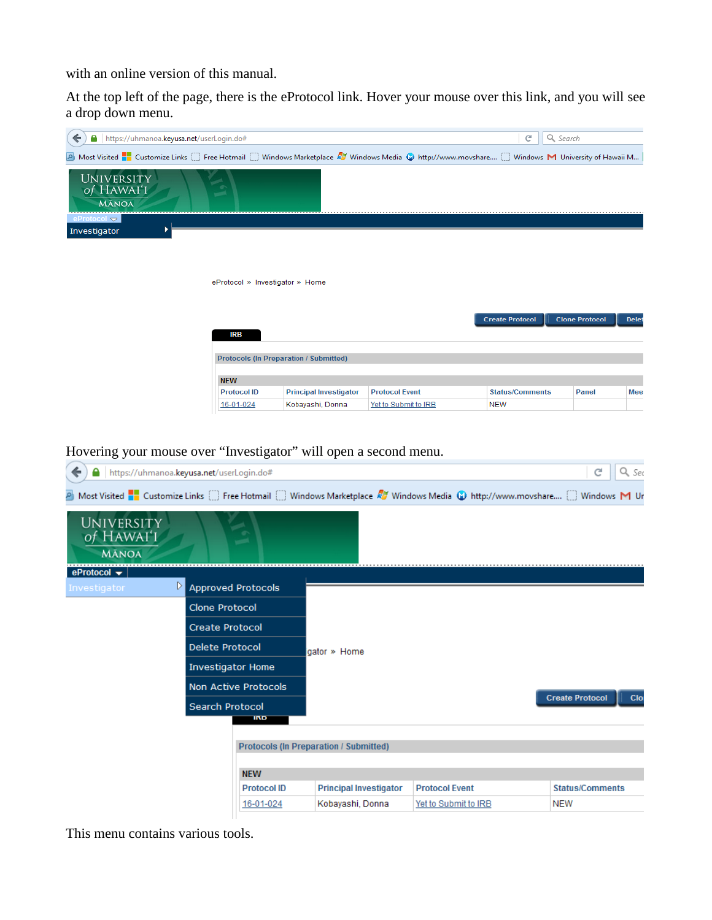with an online version of this manual.

At the top left of the page, there is the eProtocol link. Hover your mouse over this link, and you will see a drop down menu.

| https://uhmanoa.keyusa.net/userLogin.do#<br>←                                                                                                             |                                               |                       | C<br>Q Search          |                                       |
|-----------------------------------------------------------------------------------------------------------------------------------------------------------|-----------------------------------------------|-----------------------|------------------------|---------------------------------------|
| A Most Visited <b>T</b> Customize Links in Free Hotmail in Windows Marketplace 27 Windows Media @ http://www.movshare in Windows M University of Hawaii M |                                               |                       |                        |                                       |
| <b>UNIVERSITY</b><br>of HAWAI'I<br><b>MĀNOA</b>                                                                                                           |                                               |                       |                        |                                       |
| eProtocol $\blacktriangledown$<br>Investigator                                                                                                            |                                               |                       |                        |                                       |
|                                                                                                                                                           |                                               |                       |                        |                                       |
|                                                                                                                                                           |                                               |                       |                        |                                       |
|                                                                                                                                                           | eProtocol » Investigator » Home               |                       |                        |                                       |
|                                                                                                                                                           |                                               |                       |                        |                                       |
| <b>IRB</b>                                                                                                                                                |                                               |                       | <b>Create Protocol</b> | <b>Clone Protocol</b><br><b>Delet</b> |
|                                                                                                                                                           |                                               |                       |                        |                                       |
|                                                                                                                                                           | <b>Protocols (In Preparation / Submitted)</b> |                       |                        |                                       |
| <b>NEW</b>                                                                                                                                                |                                               |                       |                        |                                       |
| <b>Protocol ID</b>                                                                                                                                        | <b>Principal Investigator</b>                 | <b>Protocol Event</b> | <b>Status/Comments</b> | <b>Mee</b><br><b>Panel</b>            |
| 16-01-024                                                                                                                                                 | Kobayashi, Donna                              | Yet to Submit to IRB  | <b>NEW</b>             |                                       |

Hovering your mouse over "Investigator" will open a second menu.

| https://uhmanoa.keyusa.net/userLogin.do#<br>←                                                                                                                                                       |                                     |                                               |                       | Q sec<br>c                    |
|-----------------------------------------------------------------------------------------------------------------------------------------------------------------------------------------------------|-------------------------------------|-----------------------------------------------|-----------------------|-------------------------------|
| Most Visited <b>T</b> Customize Links <a> Free Hotmail <a> U Windows Marketplace <math>\mathbb{Z}</math> Windows Media <a> U http://www.movshare <a> U Windows <a> M Ur<br/> Ur</a></a></a></a></a> |                                     |                                               |                       |                               |
| <b>UNIVERSITY</b><br>of HAWAI'I<br><b>MĀNOA</b>                                                                                                                                                     |                                     |                                               |                       |                               |
| eProtocol $\blacktriangledown$                                                                                                                                                                      |                                     |                                               |                       |                               |
| Investigator                                                                                                                                                                                        | $\triangleright$ Approved Protocols |                                               |                       |                               |
|                                                                                                                                                                                                     | <b>Clone Protocol</b>               |                                               |                       |                               |
|                                                                                                                                                                                                     | <b>Create Protocol</b>              |                                               |                       |                               |
|                                                                                                                                                                                                     | <b>Delete Protocol</b>              | gator » Home                                  |                       |                               |
|                                                                                                                                                                                                     | <b>Investigator Home</b>            |                                               |                       |                               |
|                                                                                                                                                                                                     | <b>Non Active Protocols</b>         |                                               |                       |                               |
|                                                                                                                                                                                                     | Search Protocol                     |                                               |                       | <b>Create Protocol</b><br>Clo |
|                                                                                                                                                                                                     | IND                                 |                                               |                       |                               |
|                                                                                                                                                                                                     |                                     | <b>Protocols (In Preparation / Submitted)</b> |                       |                               |
|                                                                                                                                                                                                     |                                     |                                               |                       |                               |
|                                                                                                                                                                                                     | <b>NEW</b>                          |                                               |                       |                               |
|                                                                                                                                                                                                     | <b>Protocol ID</b>                  | <b>Principal Investigator</b>                 | <b>Protocol Event</b> | <b>Status/Comments</b>        |
|                                                                                                                                                                                                     | 16-01-024                           | Kobayashi, Donna                              | Yet to Submit to IRB  | <b>NEW</b>                    |

This menu contains various tools.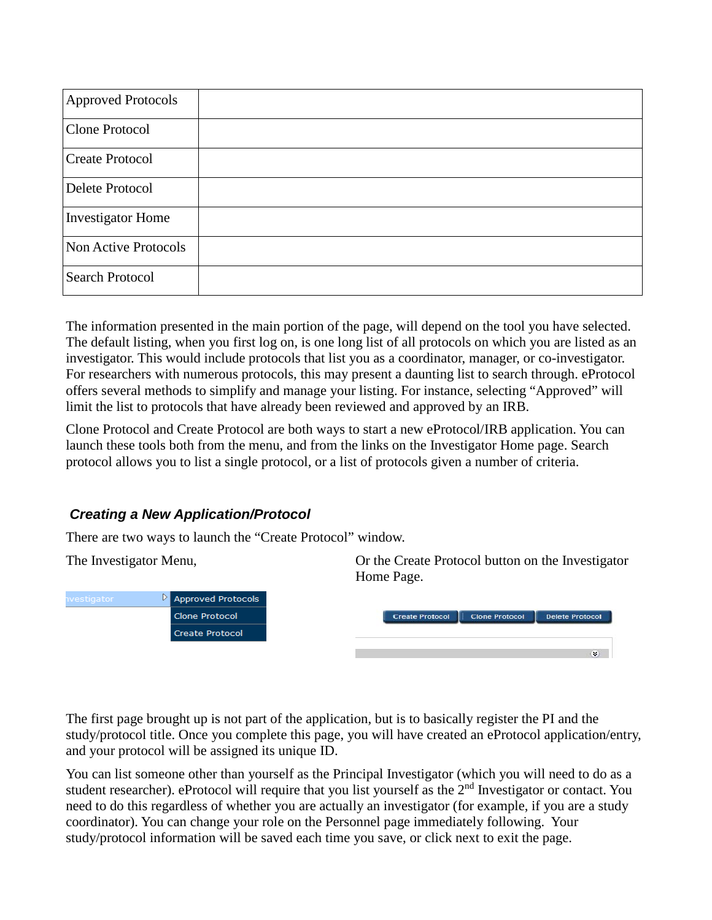| Approved Protocols       |  |
|--------------------------|--|
| Clone Protocol           |  |
| <b>Create Protocol</b>   |  |
| Delete Protocol          |  |
| <b>Investigator Home</b> |  |
| Non Active Protocols     |  |
| <b>Search Protocol</b>   |  |

The information presented in the main portion of the page, will depend on the tool you have selected. The default listing, when you first log on, is one long list of all protocols on which you are listed as an investigator. This would include protocols that list you as a coordinator, manager, or co-investigator. For researchers with numerous protocols, this may present a daunting list to search through. eProtocol offers several methods to simplify and manage your listing. For instance, selecting "Approved" will limit the list to protocols that have already been reviewed and approved by an IRB.

Clone Protocol and Create Protocol are both ways to start a new eProtocol/IRB application. You can launch these tools both from the menu, and from the links on the Investigator Home page. Search protocol allows you to list a single protocol, or a list of protocols given a number of criteria.

### *Creating a New Application/Protocol*

There are two ways to launch the "Create Protocol" window.

 $\triangleright$  Approved Protocols Clone Protocol Create Protocol

The Investigator Menu, Or the Create Protocol button on the Investigator Home Page.

| <b>Create Protocol</b> | <b>Clone Protocol</b> | <b>Delete Protocol</b> |
|------------------------|-----------------------|------------------------|
|                        |                       |                        |
|                        |                       |                        |
|                        |                       |                        |

The first page brought up is not part of the application, but is to basically register the PI and the study/protocol title. Once you complete this page, you will have created an eProtocol application/entry, and your protocol will be assigned its unique ID.

You can list someone other than yourself as the Principal Investigator (which you will need to do as a student researcher). eProtocol will require that you list yourself as the 2<sup>nd</sup> Investigator or contact. You need to do this regardless of whether you are actually an investigator (for example, if you are a study coordinator). You can change your role on the Personnel page immediately following. Your study/protocol information will be saved each time you save, or click next to exit the page.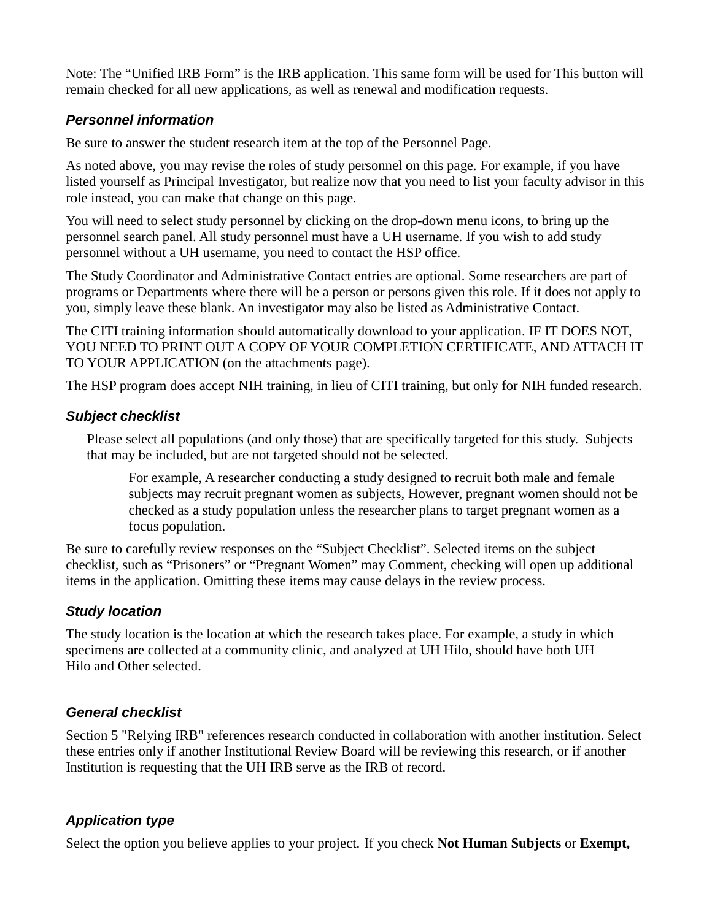Note: The "Unified IRB Form" is the IRB application. This same form will be used for This button will remain checked for all new applications, as well as renewal and modification requests.

### *Personnel information*

Be sure to answer the student research item at the top of the Personnel Page.

As noted above, you may revise the roles of study personnel on this page. For example, if you have listed yourself as Principal Investigator, but realize now that you need to list your faculty advisor in this role instead, you can make that change on this page.

You will need to select study personnel by clicking on the drop-down menu icons, to bring up the personnel search panel. All study personnel must have a UH username. If you wish to add study personnel without a UH username, you need to contact the HSP office.

The Study Coordinator and Administrative Contact entries are optional. Some researchers are part of programs or Departments where there will be a person or persons given this role. If it does not apply to you, simply leave these blank. An investigator may also be listed as Administrative Contact.

The CITI training information should automatically download to your application. IF IT DOES NOT, YOU NEED TO PRINT OUT A COPY OF YOUR COMPLETION CERTIFICATE, AND ATTACH IT TO YOUR APPLICATION (on the attachments page).

The HSP program does accept NIH training, in lieu of CITI training, but only for NIH funded research.

#### *Subject checklist*

Please select all populations (and only those) that are specifically targeted for this study. Subjects that may be included, but are not targeted should not be selected.

For example, A researcher conducting a study designed to recruit both male and female subjects may recruit pregnant women as subjects, However, pregnant women should not be checked as a study population unless the researcher plans to target pregnant women as a focus population.

Be sure to carefully review responses on the "Subject Checklist". Selected items on the subject checklist, such as "Prisoners" or "Pregnant Women" may Comment, checking will open up additional items in the application. Omitting these items may cause delays in the review process.

### *Study location*

The study location is the location at which the research takes place. For example, a study in which specimens are collected at a community clinic, and analyzed at UH Hilo, should have both UH Hilo and Other selected.

### *General checklist*

Section 5 "Relying IRB" references research conducted in collaboration with another institution. Select these entries only if another Institutional Review Board will be reviewing this research, or if another Institution is requesting that the UH IRB serve as the IRB of record.

### *Application type*

Select the option you believe applies to your project. If you check **Not Human Subjects** or **Exempt,**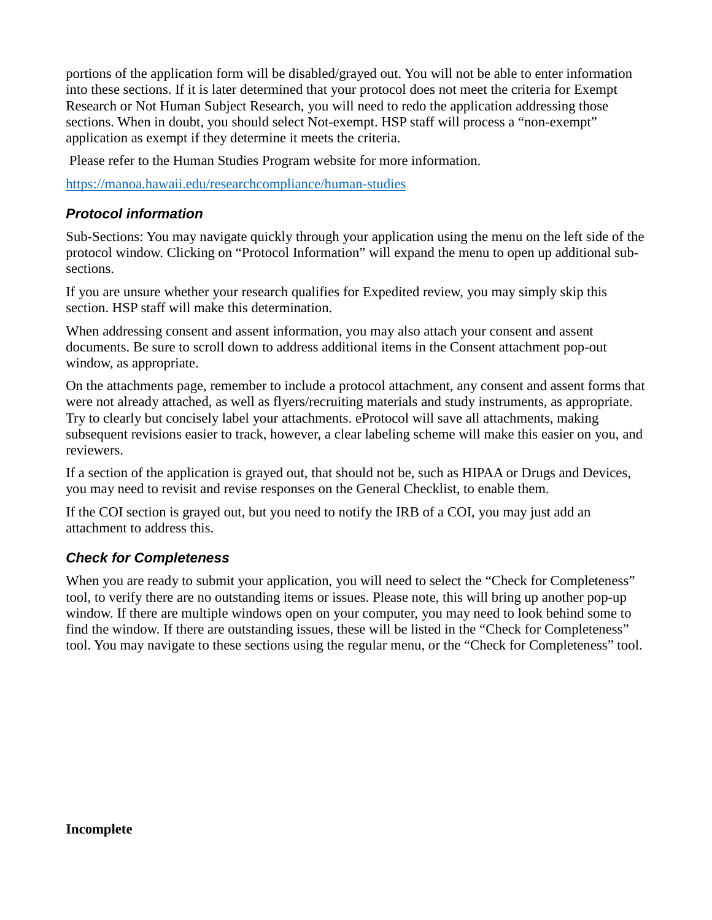portions of the application form will be disabled/grayed out. You will not be able to enter information into these sections. If it is later determined that your protocol does not meet the criteria for Exempt Research or Not Human Subject Research, you will need to redo the application addressing those sections. When in doubt, you should select Not-exempt. HSP staff will process a "non-exempt" application as exempt if they determine it meets the criteria.

Please refer to the Human Studies Program website for more information.

<https://manoa.hawaii.edu/researchcompliance/human-studies>

#### *Protocol information*

Sub-Sections: You may navigate quickly through your application using the menu on the left side of the protocol window. Clicking on "Protocol Information" will expand the menu to open up additional subsections.

If you are unsure whether your research qualifies for Expedited review, you may simply skip this section. HSP staff will make this determination.

When addressing consent and assent information, you may also attach your consent and assent documents. Be sure to scroll down to address additional items in the Consent attachment pop-out window, as appropriate.

On the attachments page, remember to include a protocol attachment, any consent and assent forms that were not already attached, as well as flyers/recruiting materials and study instruments, as appropriate. Try to clearly but concisely label your attachments. eProtocol will save all attachments, making subsequent revisions easier to track, however, a clear labeling scheme will make this easier on you, and reviewers.

If a section of the application is grayed out, that should not be, such as HIPAA or Drugs and Devices, you may need to revisit and revise responses on the General Checklist, to enable them.

If the COI section is grayed out, but you need to notify the IRB of a COI, you may just add an attachment to address this.

### *Check for Completeness*

When you are ready to submit your application, you will need to select the "Check for Completeness" tool, to verify there are no outstanding items or issues. Please note, this will bring up another pop-up window. If there are multiple windows open on your computer, you may need to look behind some to find the window. If there are outstanding issues, these will be listed in the "Check for Completeness" tool. You may navigate to these sections using the regular menu, or the "Check for Completeness" tool.